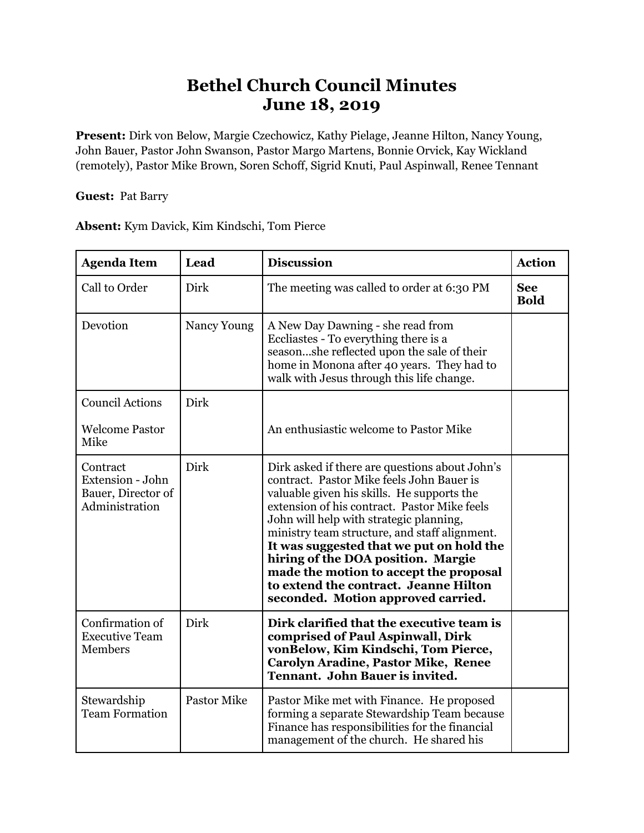## **Bethel Church Council Minutes June 18, 2019**

**Present:** Dirk von Below, Margie Czechowicz, Kathy Pielage, Jeanne Hilton, Nancy Young, John Bauer, Pastor John Swanson, Pastor Margo Martens, Bonnie Orvick, Kay Wickland (remotely), Pastor Mike Brown, Soren Schoff, Sigrid Knuti, Paul Aspinwall, Renee Tennant

**Guest:** Pat Barry

**Absent:** Kym Davick, Kim Kindschi, Tom Pierce

| <b>Agenda Item</b>                                                   | Lead               | <b>Discussion</b>                                                                                                                                                                                                                                                                                                                                                                                                                                                                                | <b>Action</b>             |
|----------------------------------------------------------------------|--------------------|--------------------------------------------------------------------------------------------------------------------------------------------------------------------------------------------------------------------------------------------------------------------------------------------------------------------------------------------------------------------------------------------------------------------------------------------------------------------------------------------------|---------------------------|
| Call to Order                                                        | Dirk               | The meeting was called to order at 6:30 PM                                                                                                                                                                                                                                                                                                                                                                                                                                                       | <b>See</b><br><b>Bold</b> |
| Devotion                                                             | Nancy Young        | A New Day Dawning - she read from<br>Eccliastes - To everything there is a<br>seasonshe reflected upon the sale of their<br>home in Monona after 40 years. They had to<br>walk with Jesus through this life change.                                                                                                                                                                                                                                                                              |                           |
| <b>Council Actions</b>                                               | Dirk               |                                                                                                                                                                                                                                                                                                                                                                                                                                                                                                  |                           |
| <b>Welcome Pastor</b><br>Mike                                        |                    | An enthusiastic welcome to Pastor Mike                                                                                                                                                                                                                                                                                                                                                                                                                                                           |                           |
| Contract<br>Extension - John<br>Bauer, Director of<br>Administration | Dirk               | Dirk asked if there are questions about John's<br>contract. Pastor Mike feels John Bauer is<br>valuable given his skills. He supports the<br>extension of his contract. Pastor Mike feels<br>John will help with strategic planning,<br>ministry team structure, and staff alignment.<br>It was suggested that we put on hold the<br>hiring of the DOA position. Margie<br>made the motion to accept the proposal<br>to extend the contract. Jeanne Hilton<br>seconded. Motion approved carried. |                           |
| Confirmation of<br><b>Executive Team</b><br>Members                  | Dirk               | Dirk clarified that the executive team is<br>comprised of Paul Aspinwall, Dirk<br>vonBelow, Kim Kindschi, Tom Pierce,<br><b>Carolyn Aradine, Pastor Mike, Renee</b><br><b>Tennant. John Bauer is invited.</b>                                                                                                                                                                                                                                                                                    |                           |
| Stewardship<br><b>Team Formation</b>                                 | <b>Pastor Mike</b> | Pastor Mike met with Finance. He proposed<br>forming a separate Stewardship Team because<br>Finance has responsibilities for the financial<br>management of the church. He shared his                                                                                                                                                                                                                                                                                                            |                           |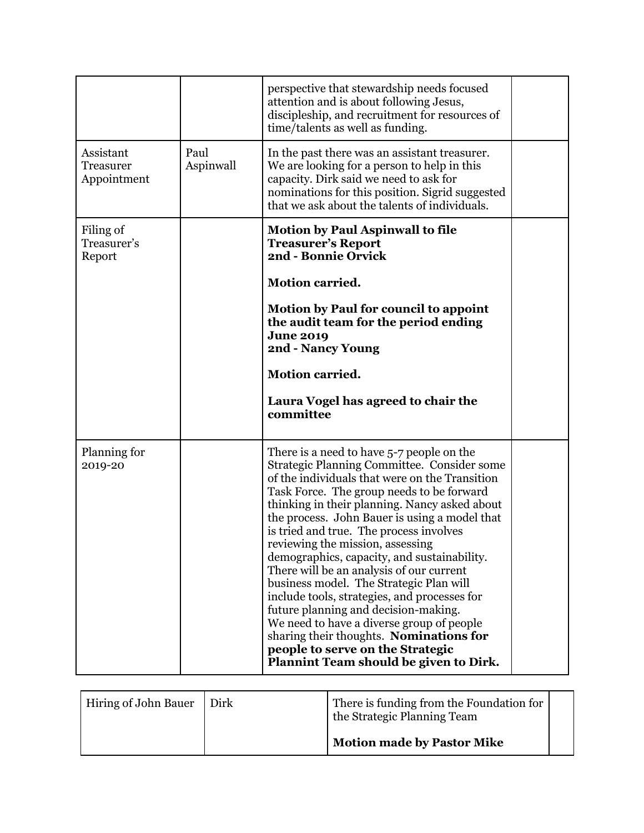|                                       |                   | perspective that stewardship needs focused<br>attention and is about following Jesus,<br>discipleship, and recruitment for resources of<br>time/talents as well as funding.                                                                                                                                                                                                                                                                                                                                                                                                                                                                                                                                                                                                  |  |
|---------------------------------------|-------------------|------------------------------------------------------------------------------------------------------------------------------------------------------------------------------------------------------------------------------------------------------------------------------------------------------------------------------------------------------------------------------------------------------------------------------------------------------------------------------------------------------------------------------------------------------------------------------------------------------------------------------------------------------------------------------------------------------------------------------------------------------------------------------|--|
| Assistant<br>Treasurer<br>Appointment | Paul<br>Aspinwall | In the past there was an assistant treasurer.<br>We are looking for a person to help in this<br>capacity. Dirk said we need to ask for<br>nominations for this position. Sigrid suggested<br>that we ask about the talents of individuals.                                                                                                                                                                                                                                                                                                                                                                                                                                                                                                                                   |  |
| Filing of<br>Treasurer's<br>Report    |                   | <b>Motion by Paul Aspinwall to file</b><br><b>Treasurer's Report</b><br>2nd - Bonnie Orvick<br><b>Motion carried.</b><br><b>Motion by Paul for council to appoint</b><br>the audit team for the period ending<br><b>June 2019</b><br>2nd - Nancy Young<br><b>Motion carried.</b><br>Laura Vogel has agreed to chair the<br>committee                                                                                                                                                                                                                                                                                                                                                                                                                                         |  |
| Planning for<br>2019-20               |                   | There is a need to have 5-7 people on the<br>Strategic Planning Committee. Consider some<br>of the individuals that were on the Transition<br>Task Force. The group needs to be forward<br>thinking in their planning. Nancy asked about<br>the process. John Bauer is using a model that<br>is tried and true. The process involves<br>reviewing the mission, assessing<br>demographics, capacity, and sustainability.<br>There will be an analysis of our current<br>business model. The Strategic Plan will<br>include tools, strategies, and processes for<br>future planning and decision-making.<br>We need to have a diverse group of people<br>sharing their thoughts. Nominations for<br>people to serve on the Strategic<br>Plannint Team should be given to Dirk. |  |

| <b>Hiring of John Bauer</b> | Dirk | There is funding from the Foundation for<br>the Strategic Planning Team |  |
|-----------------------------|------|-------------------------------------------------------------------------|--|
|                             |      | <b>Motion made by Pastor Mike</b>                                       |  |